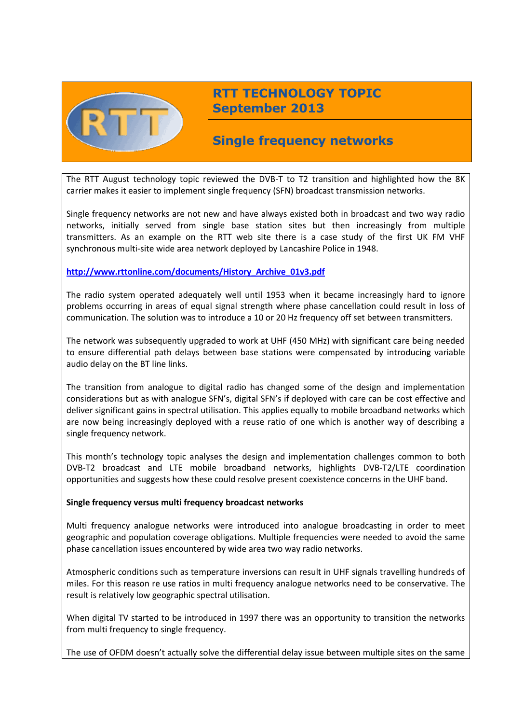

# **RTT TECHNOLOGY TOPIC September 2013**

# **Single frequency networks**

The RTT August technology topic reviewed the DVB-T to T2 transition and highlighted how the 8K carrier makes it easier to implement single frequency (SFN) broadcast transmission networks.

Single frequency networks are not new and have always existed both in broadcast and two way radio networks, initially served from single base station sites but then increasingly from multiple transmitters. As an example on the RTT web site there is a case study of the first UK FM VHF synchronous multi-site wide area network deployed by Lancashire Police in 1948.

## **[http://www.rttonline.com/documents/History\\_Archive\\_01v3.pdf](http://www.rttonline.com/documents/History_Archive_01v3.pdf)**

The radio system operated adequately well until 1953 when it became increasingly hard to ignore problems occurring in areas of equal signal strength where phase cancellation could result in loss of communication. The solution was to introduce a 10 or 20 Hz frequency off set between transmitters.

The network was subsequently upgraded to work at UHF (450 MHz) with significant care being needed to ensure differential path delays between base stations were compensated by introducing variable audio delay on the BT line links.

The transition from analogue to digital radio has changed some of the design and implementation considerations but as with analogue SFN's, digital SFN's if deployed with care can be cost effective and deliver significant gains in spectral utilisation. This applies equally to mobile broadband networks which are now being increasingly deployed with a reuse ratio of one which is another way of describing a single frequency network.

This month's technology topic analyses the design and implementation challenges common to both DVB-T2 broadcast and LTE mobile broadband networks, highlights DVB-T2/LTE coordination opportunities and suggests how these could resolve present coexistence concerns in the UHF band.

### **Single frequency versus multi frequency broadcast networks**

Multi frequency analogue networks were introduced into analogue broadcasting in order to meet geographic and population coverage obligations. Multiple frequencies were needed to avoid the same phase cancellation issues encountered by wide area two way radio networks.

Atmospheric conditions such as temperature inversions can result in UHF signals travelling hundreds of miles. For this reason re use ratios in multi frequency analogue networks need to be conservative. The result is relatively low geographic spectral utilisation.

When digital TV started to be introduced in 1997 there was an opportunity to transition the networks from multi frequency to single frequency.

The use of OFDM doesn't actually solve the differential delay issue between multiple sites on the same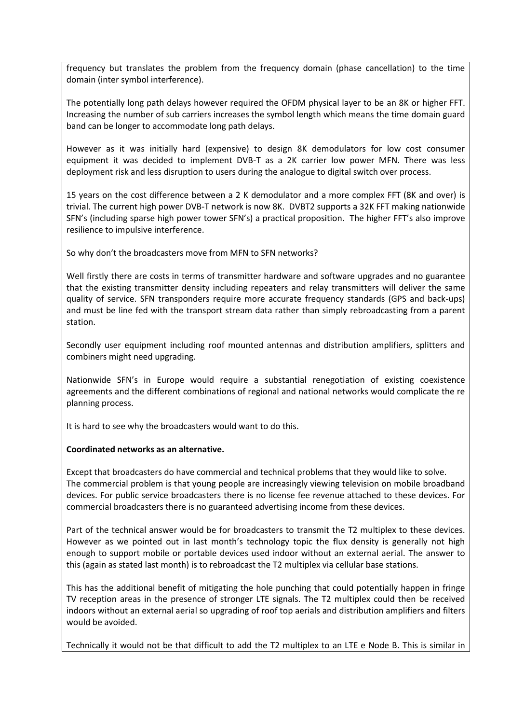frequency but translates the problem from the frequency domain (phase cancellation) to the time domain (inter symbol interference).

The potentially long path delays however required the OFDM physical layer to be an 8K or higher FFT. Increasing the number of sub carriers increases the symbol length which means the time domain guard band can be longer to accommodate long path delays.

However as it was initially hard (expensive) to design 8K demodulators for low cost consumer equipment it was decided to implement DVB-T as a 2K carrier low power MFN. There was less deployment risk and less disruption to users during the analogue to digital switch over process.

15 years on the cost difference between a 2 K demodulator and a more complex FFT (8K and over) is trivial. The current high power DVB-T network is now 8K. DVBT2 supports a 32K FFT making nationwide SFN's (including sparse high power tower SFN's) a practical proposition. The higher FFT's also improve resilience to impulsive interference.

So why don't the broadcasters move from MFN to SFN networks?

Well firstly there are costs in terms of transmitter hardware and software upgrades and no guarantee that the existing transmitter density including repeaters and relay transmitters will deliver the same quality of service. SFN transponders require more accurate frequency standards (GPS and back-ups) and must be line fed with the transport stream data rather than simply rebroadcasting from a parent station.

Secondly user equipment including roof mounted antennas and distribution amplifiers, splitters and combiners might need upgrading.

Nationwide SFN's in Europe would require a substantial renegotiation of existing coexistence agreements and the different combinations of regional and national networks would complicate the re planning process.

It is hard to see why the broadcasters would want to do this.

### **Coordinated networks as an alternative.**

Except that broadcasters do have commercial and technical problems that they would like to solve. The commercial problem is that young people are increasingly viewing television on mobile broadband devices. For public service broadcasters there is no license fee revenue attached to these devices. For commercial broadcasters there is no guaranteed advertising income from these devices.

Part of the technical answer would be for broadcasters to transmit the T2 multiplex to these devices. However as we pointed out in last month's technology topic the flux density is generally not high enough to support mobile or portable devices used indoor without an external aerial. The answer to this (again as stated last month) is to rebroadcast the T2 multiplex via cellular base stations.

This has the additional benefit of mitigating the hole punching that could potentially happen in fringe TV reception areas in the presence of stronger LTE signals. The T2 multiplex could then be received indoors without an external aerial so upgrading of roof top aerials and distribution amplifiers and filters would be avoided.

Technically it would not be that difficult to add the T2 multiplex to an LTE e Node B. This is similar in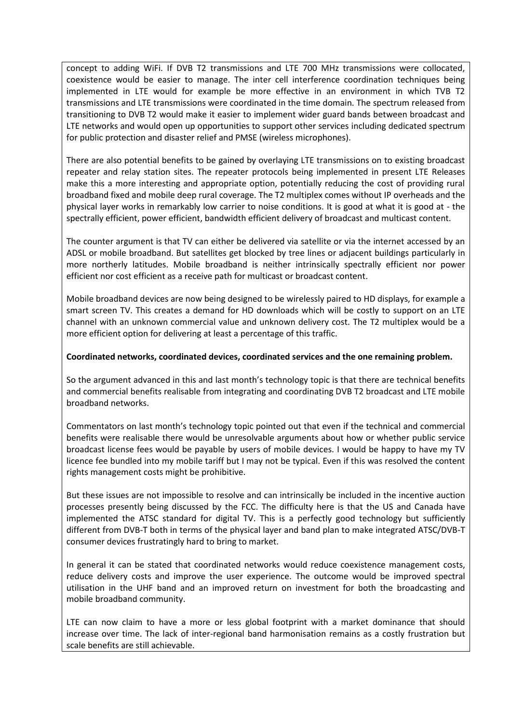concept to adding WiFi. If DVB T2 transmissions and LTE 700 MHz transmissions were collocated, coexistence would be easier to manage. The inter cell interference coordination techniques being implemented in LTE would for example be more effective in an environment in which TVB T2 transmissions and LTE transmissions were coordinated in the time domain. The spectrum released from transitioning to DVB T2 would make it easier to implement wider guard bands between broadcast and LTE networks and would open up opportunities to support other services including dedicated spectrum for public protection and disaster relief and PMSE (wireless microphones).

There are also potential benefits to be gained by overlaying LTE transmissions on to existing broadcast repeater and relay station sites. The repeater protocols being implemented in present LTE Releases make this a more interesting and appropriate option, potentially reducing the cost of providing rural broadband fixed and mobile deep rural coverage. The T2 multiplex comes without IP overheads and the physical layer works in remarkably low carrier to noise conditions. It is good at what it is good at - the spectrally efficient, power efficient, bandwidth efficient delivery of broadcast and multicast content.

The counter argument is that TV can either be delivered via satellite or via the internet accessed by an ADSL or mobile broadband. But satellites get blocked by tree lines or adjacent buildings particularly in more northerly latitudes. Mobile broadband is neither intrinsically spectrally efficient nor power efficient nor cost efficient as a receive path for multicast or broadcast content.

Mobile broadband devices are now being designed to be wirelessly paired to HD displays, for example a smart screen TV. This creates a demand for HD downloads which will be costly to support on an LTE channel with an unknown commercial value and unknown delivery cost. The T2 multiplex would be a more efficient option for delivering at least a percentage of this traffic.

### **Coordinated networks, coordinated devices, coordinated services and the one remaining problem.**

So the argument advanced in this and last month's technology topic is that there are technical benefits and commercial benefits realisable from integrating and coordinating DVB T2 broadcast and LTE mobile broadband networks.

Commentators on last month's technology topic pointed out that even if the technical and commercial benefits were realisable there would be unresolvable arguments about how or whether public service broadcast license fees would be payable by users of mobile devices. I would be happy to have my TV licence fee bundled into my mobile tariff but I may not be typical. Even if this was resolved the content rights management costs might be prohibitive.

But these issues are not impossible to resolve and can intrinsically be included in the incentive auction processes presently being discussed by the FCC. The difficulty here is that the US and Canada have implemented the ATSC standard for digital TV. This is a perfectly good technology but sufficiently different from DVB-T both in terms of the physical layer and band plan to make integrated ATSC/DVB-T consumer devices frustratingly hard to bring to market.

In general it can be stated that coordinated networks would reduce coexistence management costs, reduce delivery costs and improve the user experience. The outcome would be improved spectral utilisation in the UHF band and an improved return on investment for both the broadcasting and mobile broadband community.

LTE can now claim to have a more or less global footprint with a market dominance that should increase over time. The lack of inter-regional band harmonisation remains as a costly frustration but scale benefits are still achievable.